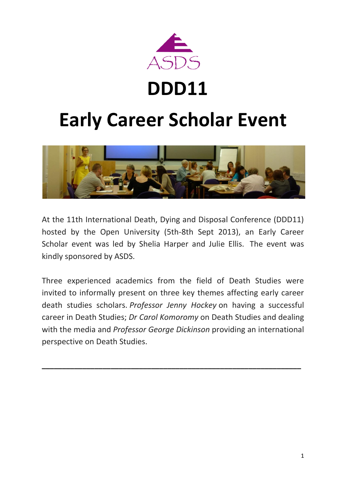

# **DDD11**

# **Early Career Scholar Event**



At the 11th International Death, Dying and Disposal Conference (DDD11) hosted by the Open University (5th-8th Sept 2013), an Early Career Scholar event was led by Shelia Harper and Julie Ellis. The event was kindly sponsored by ASDS.

Three experienced academics from the field of Death Studies were invited to informally present on three key themes affecting early career death studies scholars. *Professor Jenny Hockey* on having a successful career in Death Studies; *Dr Carol Komoromy* on Death Studies and dealing with the media and *Professor George Dickinson* providing an international perspective on Death Studies.

**\_\_\_\_\_\_\_\_\_\_\_\_\_\_\_\_\_\_\_\_\_\_\_\_\_\_\_\_\_\_\_\_\_\_\_\_\_\_\_\_\_\_\_\_\_\_\_\_\_\_\_\_\_\_\_\_\_\_\_\_\_\_\_\_**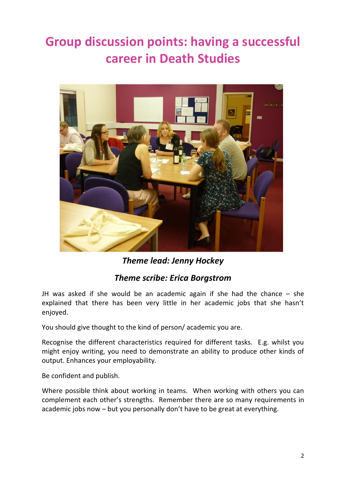## **Group discussion points: having a successful career in Death Studies**



*Theme lead: Jenny Hockey*

### *Theme scribe: Erica Borgstrom*

JH was asked if she would be an academic again if she had the chance – she explained that there has been very little in her academic jobs that she hasn't enjoyed.

You should give thought to the kind of person/ academic you are.

Recognise the different characteristics required for different tasks. E.g. whilst you might enjoy writing, you need to demonstrate an ability to produce other kinds of output. Enhances your employability.

Be confident and publish.

Where possible think about working in teams. When working with others you can complement each other's strengths. Remember there are so many requirements in academic jobs now – but you personally don't have to be great at everything.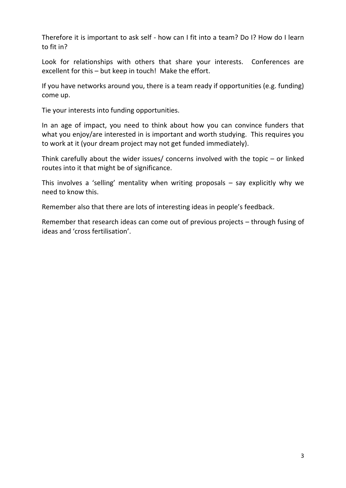Therefore it is important to ask self - how can I fit into a team? Do I? How do I learn to fit in?

Look for relationships with others that share your interests. Conferences are excellent for this – but keep in touch! Make the effort.

If you have networks around you, there is a team ready if opportunities (e.g. funding) come up.

Tie your interests into funding opportunities.

In an age of impact, you need to think about how you can convince funders that what you enjoy/are interested in is important and worth studying. This requires you to work at it (your dream project may not get funded immediately).

Think carefully about the wider issues/ concerns involved with the topic – or linked routes into it that might be of significance.

This involves a 'selling' mentality when writing proposals – say explicitly why we need to know this.

Remember also that there are lots of interesting ideas in people's feedback.

Remember that research ideas can come out of previous projects – through fusing of ideas and 'cross fertilisation'.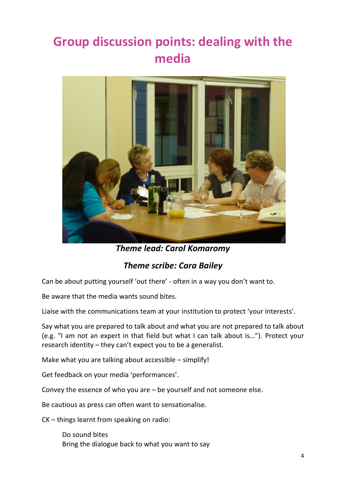### **Group discussion points: dealing with the media**



*Theme lead: Carol Komaromy*

### *Theme scribe: Cara Bailey*

Can be about putting yourself 'out there' - often in a way you don't want to.

Be aware that the media wants sound bites.

Liaise with the communications team at your institution to protect 'your interests'.

Say what you are prepared to talk about and what you are not prepared to talk about (e.g. "I am not an expert in that field but what I can talk about is…"). Protect your research identity – they can't expect you to be a generalist.

Make what you are talking about accessible – simplify!

Get feedback on your media 'performances'.

Convey the essence of who you are – be yourself and not someone else.

Be cautious as press can often want to sensationalise.

CK – things learnt from speaking on radio:

Do sound bites Bring the dialogue back to what you want to say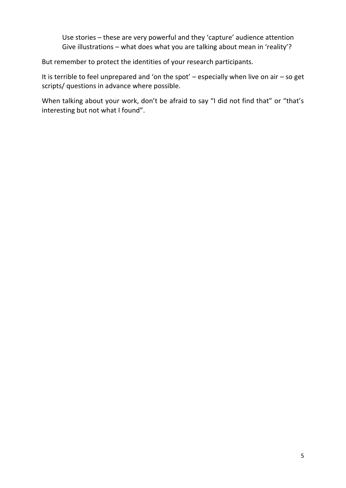Use stories – these are very powerful and they 'capture' audience attention Give illustrations – what does what you are talking about mean in 'reality'?

But remember to protect the identities of your research participants.

It is terrible to feel unprepared and 'on the spot' – especially when live on air – so get scripts/ questions in advance where possible.

When talking about your work, don't be afraid to say "I did not find that" or "that's interesting but not what I found".